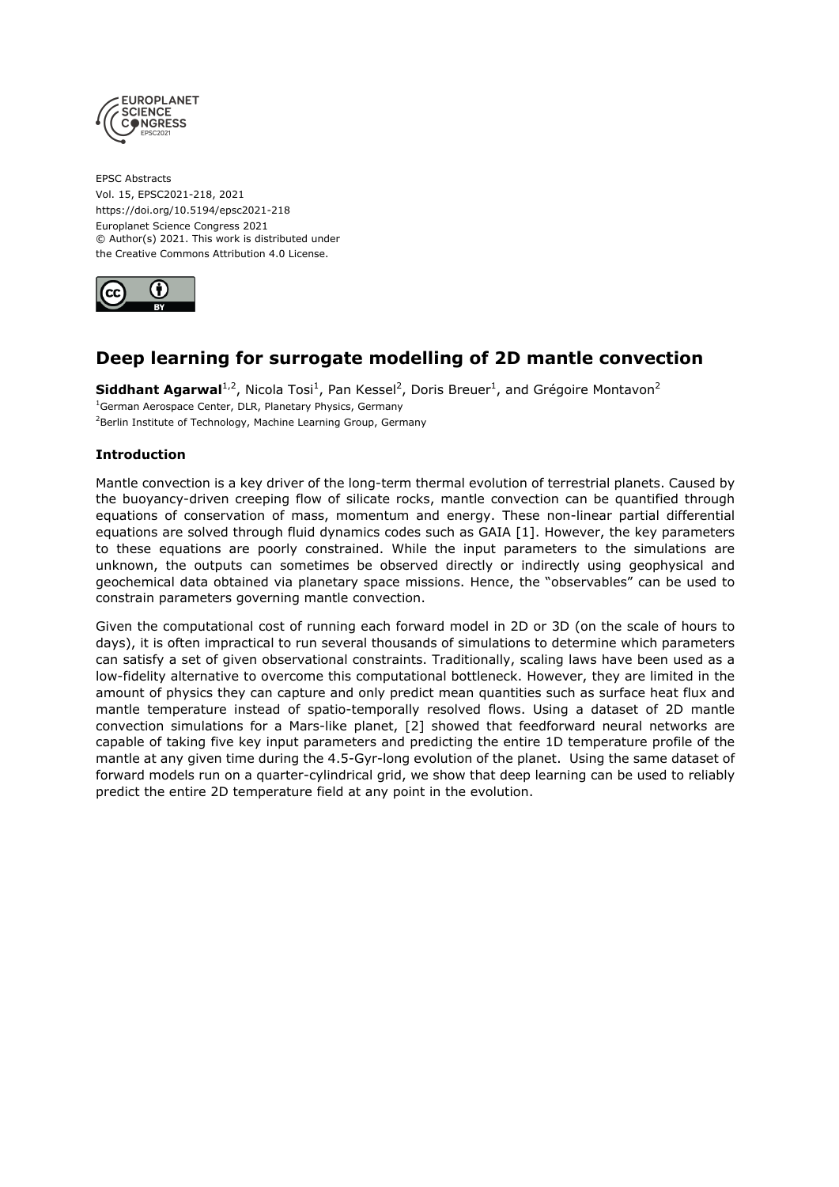

EPSC Abstracts Vol. 15, EPSC2021-218, 2021 https://doi.org/10.5194/epsc2021-218 Europlanet Science Congress 2021 © Author(s) 2021. This work is distributed under the Creative Commons Attribution 4.0 License.



# **Deep learning for surrogate modelling of 2D mantle convection**

**Siddhant Agarwal**<sup>1,2</sup>, Nicola Tosi<sup>1</sup>, Pan Kessel<sup>2</sup>, Doris Breuer<sup>1</sup>, and Grégoire Montavon<sup>2</sup> <sup>1</sup>German Aerospace Center, DLR, Planetary Physics, Germany <sup>2</sup>Berlin Institute of Technology, Machine Learning Group, Germany

## **Introduction**

Mantle convection is a key driver of the long-term thermal evolution of terrestrial planets. Caused by the buoyancy-driven creeping flow of silicate rocks, mantle convection can be quantified through equations of conservation of mass, momentum and energy. These non-linear partial differential equations are solved through fluid dynamics codes such as GAIA [1]. However, the key parameters to these equations are poorly constrained. While the input parameters to the simulations are unknown, the outputs can sometimes be observed directly or indirectly using geophysical and geochemical data obtained via planetary space missions. Hence, the "observables" can be used to constrain parameters governing mantle convection.

Given the computational cost of running each forward model in 2D or 3D (on the scale of hours to days), it is often impractical to run several thousands of simulations to determine which parameters can satisfy a set of given observational constraints. Traditionally, scaling laws have been used as a low-fidelity alternative to overcome this computational bottleneck. However, they are limited in the amount of physics they can capture and only predict mean quantities such as surface heat flux and mantle temperature instead of spatio-temporally resolved flows. Using a dataset of 2D mantle convection simulations for a Mars-like planet, [2] showed that feedforward neural networks are capable of taking five key input parameters and predicting the entire 1D temperature profile of the mantle at any given time during the 4.5-Gyr-long evolution of the planet. Using the same dataset of forward models run on a quarter-cylindrical grid, we show that deep learning can be used to reliably predict the entire 2D temperature field at any point in the evolution.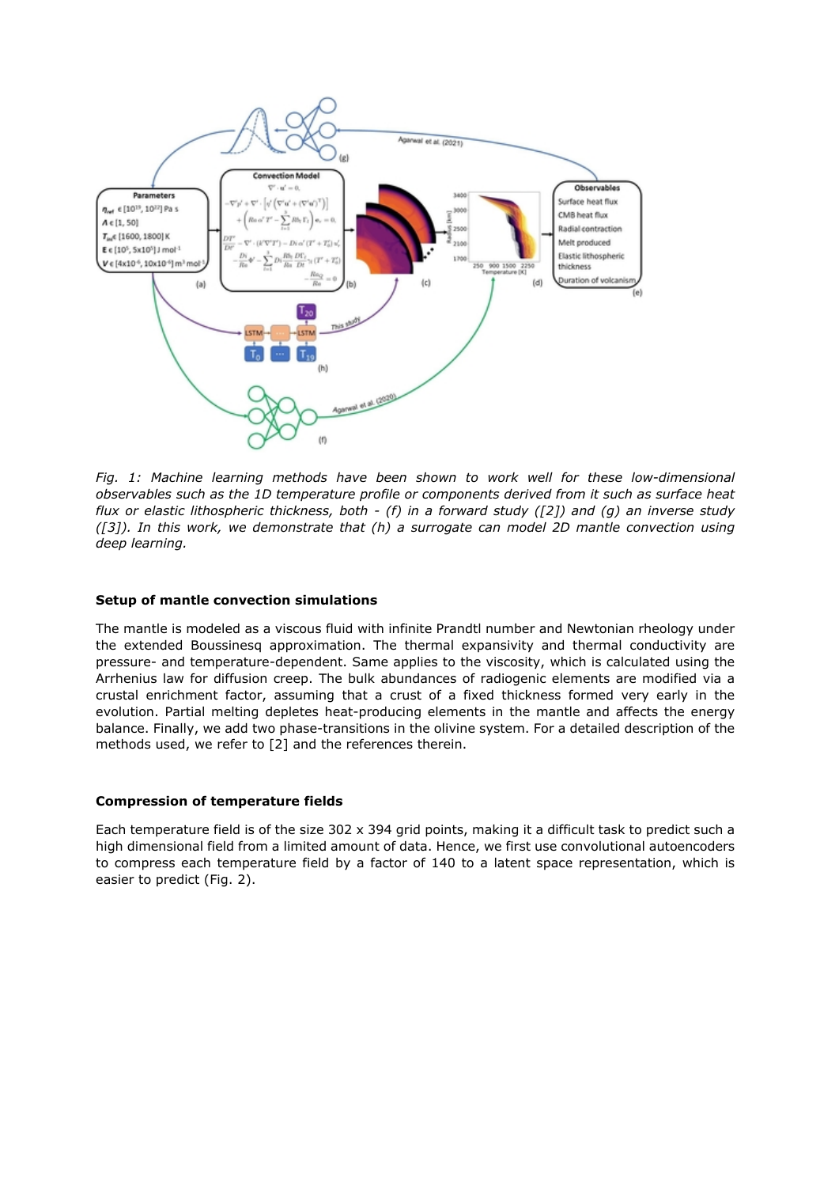

*Fig. 1: Machine learning methods have been shown to work well for these low-dimensional observables such as the 1D temperature profile or components derived from it such as surface heat flux or elastic lithospheric thickness, both - (f) in a forward study ([2]) and (g) an inverse study ([3]). In this work, we demonstrate that (h) a surrogate can model 2D mantle convection using deep learning.* 

## **Setup of mantle convection simulations**

The mantle is modeled as a viscous fluid with infinite Prandtl number and Newtonian rheology under the extended Boussinesq approximation. The thermal expansivity and thermal conductivity are pressure- and temperature-dependent. Same applies to the viscosity, which is calculated using the Arrhenius law for diffusion creep. The bulk abundances of radiogenic elements are modified via a crustal enrichment factor, assuming that a crust of a fixed thickness formed very early in the evolution. Partial melting depletes heat-producing elements in the mantle and affects the energy balance. Finally, we add two phase-transitions in the olivine system. For a detailed description of the methods used, we refer to [2] and the references therein.

#### **Compression of temperature fields**

Each temperature field is of the size 302 x 394 grid points, making it a difficult task to predict such a high dimensional field from a limited amount of data. Hence, we first use convolutional autoencoders to compress each temperature field by a factor of 140 to a latent space representation, which is easier to predict (Fig. 2).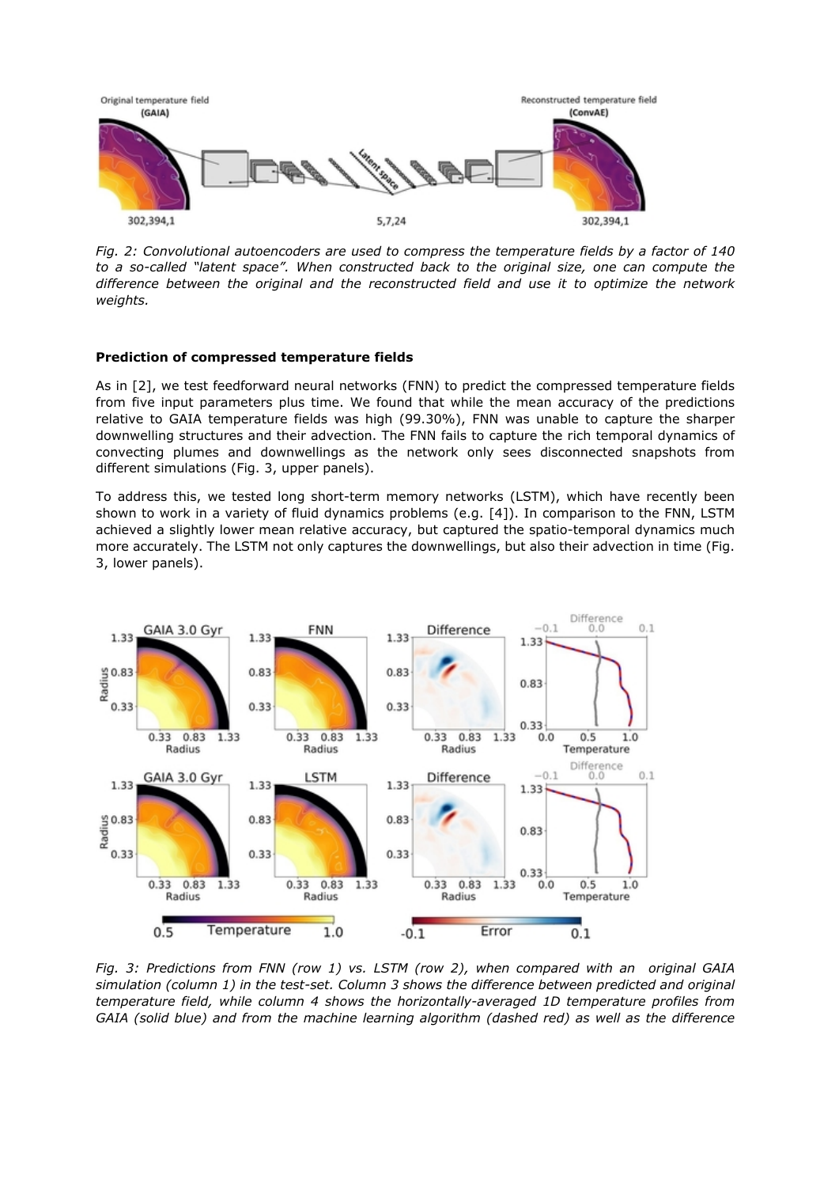

*Fig. 2: Convolutional autoencoders are used to compress the temperature fields by a factor of 140 to a so-called "latent space". When constructed back to the original size, one can compute the difference between the original and the reconstructed field and use it to optimize the network weights.*

#### **Prediction of compressed temperature fields**

As in [2], we test feedforward neural networks (FNN) to predict the compressed temperature fields from five input parameters plus time. We found that while the mean accuracy of the predictions relative to GAIA temperature fields was high (99.30%), FNN was unable to capture the sharper downwelling structures and their advection. The FNN fails to capture the rich temporal dynamics of convecting plumes and downwellings as the network only sees disconnected snapshots from different simulations (Fig. 3, upper panels).

To address this, we tested long short-term memory networks (LSTM), which have recently been shown to work in a variety of fluid dynamics problems (e.g. [4]). In comparison to the FNN, LSTM achieved a slightly lower mean relative accuracy, but captured the spatio-temporal dynamics much more accurately. The LSTM not only captures the downwellings, but also their advection in time (Fig. 3, lower panels).



*Fig. 3: Predictions from FNN (row 1) vs. LSTM (row 2), when compared with an original GAIA simulation (column 1) in the test-set. Column 3 shows the difference between predicted and original temperature field, while column 4 shows the horizontally-averaged 1D temperature profiles from GAIA (solid blue) and from the machine learning algorithm (dashed red) as well as the difference*